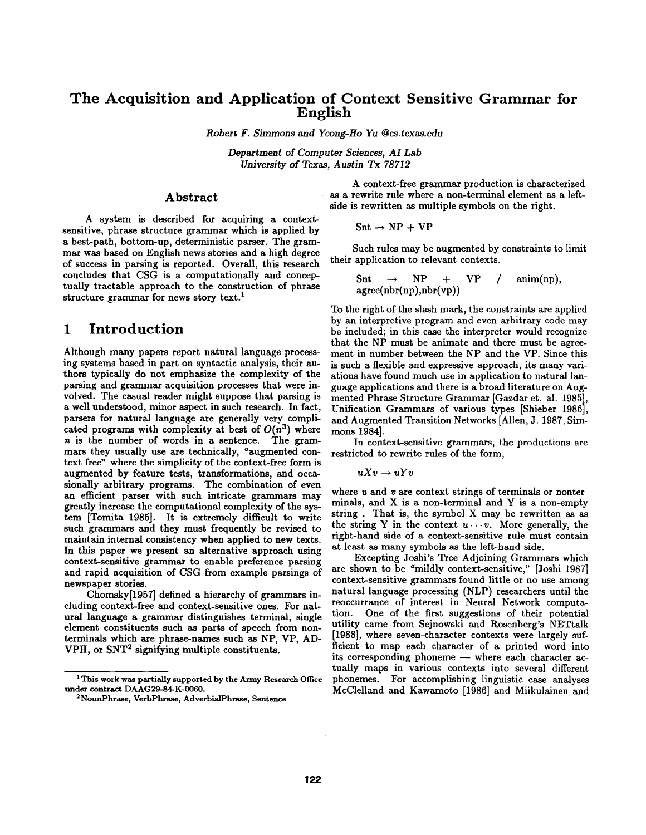# **The Acquisition and Application of Context Sensitive Grammar for English**

*Robert F. Simmons and Yeong-Ho Yu @cs.texas.edu* 

*Department of Computer Sciences, AI Lab University of Texas, Austin Tx 78712* 

#### Abstract

A system is described for acquiring a contextsensitive, phrase structure grammar which is applied by a best-path, bottom-up, deterministic parser. The grammar was based on English news stories and a high degree of success in parsing is reported. Overall, this research concludes that CSG is a computationally and conceptually tractable approach to the construction of phrase structure grammar for news story text.<sup>1</sup>

# **1 Introduction**

Although many papers report natural language processing systems based in part on syntactic analysis, their authors typically do not emphasize the complexity of the parsing and grammar acquisition processes that were involved. The casual reader might suppose that parsing is a well understood, minor aspect in such research. In fact, parsers for natural language are generally very complicated programs with complexity at best of  $O(n^3)$  where n is the number of words in a sentence. The grammars they usually use are technically, "augmented context free" where the simplicity of the context-free form is augmented by feature tests, transformations, and occasionally arbitrary programs. The combination of even an efficient parser with such intricate grammars may greatly increase the computational complexity of the system [Tomita 1985]. It is extremely difficult to write such grammars and they must frequently be revised to maintain internal consistency when applied to new texts. In this paper we present an alternative approach using context-sensitive grammar to enable preference parsing and rapid acquisition of CSG from example parsings of newspaper stories.

Chomsky[1957] defined a hierarchy of grammars including context-free and context-sensitive ones. For natural language a grammar distinguishes terminal, single element constituents such as parts of speech from nonterminals which are phrase-names such as NP, VP, AD-VPH, or SNT<sup>2</sup> signifying multiple constituents.

A context-free grammar production is characterized as a rewrite rule where a non-terminal element as a leftside is rewritten as multiple symbols on the right.

$$
Snt \rightarrow NP + VP
$$

Such rules may be augmented by constraints to limit their application to relevant contexts.

$$
Snt \rightarrow NP + VP / \text{anim(np)},
$$
  
agree( $nbr(np)$ , $nbr(vp)$ )

To the right of the slash mark, the constraints are applied by an interpretive program and even arbitrary code may be included; in this case the interpreter would recognize that the NP must be animate and there must be agreement in number between the NP and the VP. Since this is such a flexible and expressive approach, its many variations have found much use in application to natural language applications and there is a broad literature on Augmented Phrase Structure Grammar [Gazdar et. al. 1985], Unification Grammars of various types [Shieber 1986], and Augmented Transition Networks [Allen, J. 1987, Simmons 1984].

In context-sensitive grammars, the productions are restricted to rewrite rules of the form,

$$
uXv \to uYv
$$

where  $u$  and  $v$  are context strings of terminals or nonterminals, and X is a non-terminal and Y is a non-empty string . That is, the symbol X may be rewritten as as the string Y in the context  $u \cdots v$ . More generally, the right-hand side of a context-sensitive rule must contain at least as many symbols as the left-hand side.

Excepting Joshi's Tree Adjoining Grammars which are shown to be "mildly context-sensitive," [Joshi 1987] context-sensitive grammars found little or no use among natural language processing (NLP) researchers until the reoccurrance of interest in Neural Network computation. One of the first suggestions of their potential utility came from Sejnowski and Rosenberg's NETtalk [1988], where seven-character contexts were largely sufficient to map each character of a printed word into its corresponding phoneme  $-$  where each character actually maps in various contexts into several different phonemes. For accomplishing linguistic case analyses McClelland and Kawamoto [1986] and Miikulainen and

<sup>1</sup> This work was partially supported by the Army Research Office under contract DAAG29-84-K-0060.

<sup>~</sup>NounPhrase, VerbPhrase, AdverbialPhrase, Sentence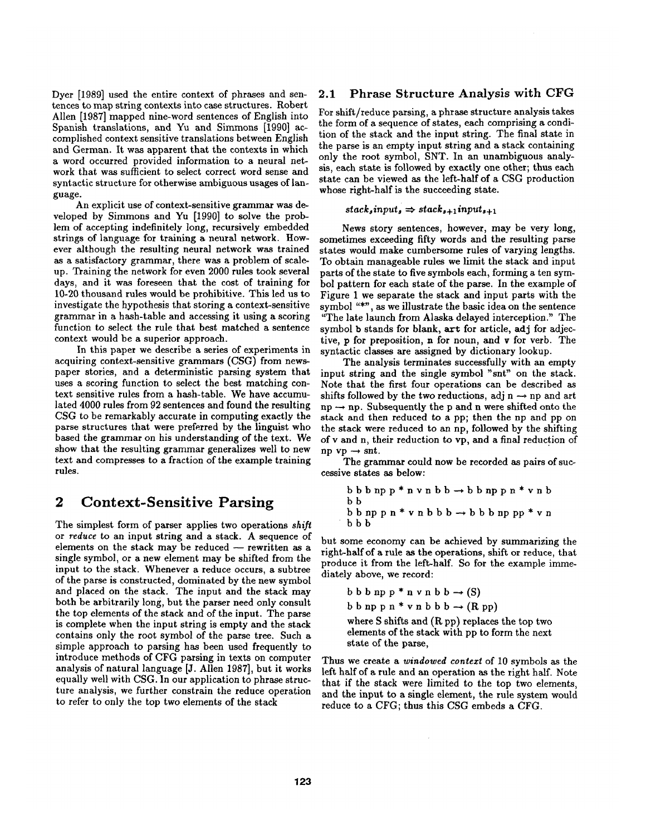Dyer [1989] used the entire context of phrases and sentences to map string contexts into case structures. Robert Allen [1987] mapped nine-word sentences of English into Spanish translations, and Yu and Simmons [1990] accomplished context sensitive translations between English and German. It was apparent that the contexts in which a word occurred provided information to a neural network that was sufficient to select correct word sense and syntactic structure for otherwise ambiguous usages of language.

An explicit use of context-sensitive grammar was developed by Simmons and Yu [1990] to solve the problem of accepting indefinitely long, recursively embedded strings of language for training a neural network. However although the resulting neural network was trained as a satisfactory grammar, there was a problem of scaleup. Training the network for even 2000 rules took several days, and it was foreseen that the cost of training for 10-20 thousand rules would be prohibitive. This led us to investigate the hypothesis that storing a context-sensitive grammar in a hash-table and accessing it using a scoring function to select the rule that best matched a sentence context would be a superior approach.

In this paper we describe a series of experiments in acquiring context-sensitive grammars (CSG) from newspaper stories, and a deterministic parsing system that uses a scoring function to select the best matching context sensitive rules from a hash-table. We have accumulated 4000 rules from 92 sentences and found the resulting CSG to be remarkably accurate in computing exactly the parse structures that were preferred by the linguist who based the grammar on his understanding of the text. We show that the resulting grammar generalizes well to new text and compresses to a fraction of the example training rules.

# **2 Context-Sensitive Parsing**

The simplest form of parser applies two operations *shift*  or *reduce* to an input string and a stack. A sequence of elements on the stack may be reduced  $-$  rewritten as a single symbol, or a new element may be shifted from the input to the stack. Whenever a reduce occurs, a subtree of the parse is constructed, dominated by the new symbol and placed on the stack. The input and the stack may both be arbitrarily long, but the parser need only consult the top elements of the stack and of the input. The parse is complete when the input string is empty and the stack contains only the root symbol of the parse tree. Such a simple approach to parsing has been used frequently to introduce methods of CFG parsing in texts on computer analysis of natural language [J. Allen 1987], but it works equally well with CSG. In our application to phrase structure analysis, we further constrain the reduce operation to refer to only the top two elements of the stack

# 2.1 Phrase Structure Analysis with CFG

For shift/reduce parsing, a phrase structure analysis takes the form of a sequence of states, each comprising a condition of the stack and the input string. The final state in the parse is an empty input string and a stack containing only the root symbol, SNT. In an unambiguous analysis, each state is followed by exactly one other; thus each state can be viewed as the left-half of a CSG production whose right-half is the succeeding state.

#### $stack_s, input_s \Rightarrow stack_{s+1}$  *input<sub>s+1</sub>*

News story sentences, however, may be very long, sometimes exceeding fifty words and the resulting parse states would make cumbersome rules of varying lengths. To obtain manageable rules we limit the stack and input parts of the state to five symbols each, forming a ten symbol pattern for each state of the parse. In the example of Figure 1 we separate the stack and input parts with the symbol "\*", as we illustrate the basic idea on the sentence "The late launch from Alaska delayed interception." The symbol b stands for blank, art for article, adj for adjective, p for preposition, n for noun, and v for verb. The syntactic classes are assigned by dictionary lookup.

The analysis terminates successfully with an empty input string and the single symbol "snt" on the stack. Note that the first four operations can be described as shifts followed by the two reductions, adj  $n \rightarrow np$  and art  $np \rightarrow np$ . Subsequently the p and n were shifted onto the stack and then reduced to a pp; then the np and pp on the stack were reduced to an np, followed by the shifting of v and n, their reduction to vp, and a final reduction of np  $vp \rightarrow snt$ .

The grammar could now be recorded as pairs of successive states as below:

$$
\begin{array}{l} b\; b\; b\; np\; p\; * \; n\; v\; n\; b\; b \; \rightarrow b\; b\; np\; p\; n\; * \; v\; n\; b\\ b\; b\; np\; p\; n\; * \; v\; n\; b\; b\; b \; \rightarrow b\; b\; b\; np\; pp\; * \; v\; n\\ b\; b\; b\; \end{array}
$$

but some economy can be achieved by summarizing the right-half of a rule as the operations, shift or reduce, that produce it from the left-half. So for the example immediately above, we record:

b b b np p \* n v n b b 
$$
\rightarrow
$$
 (S)  
b b np p n \* v n b b b  $\rightarrow$  (R pp)  
where S shifts and (R pp) replaces the top two  
elements of the stack with pp to form the next  
state of the parse,

Thus we create a *windowed confexf* of 10 symbols as the left half of a rule and an operation as the right half. Note that if the stack were limited to the top two elements, and the input to a single element, the rule system would reduce to a *CFG;* thus this *CSG* embeds a CFG.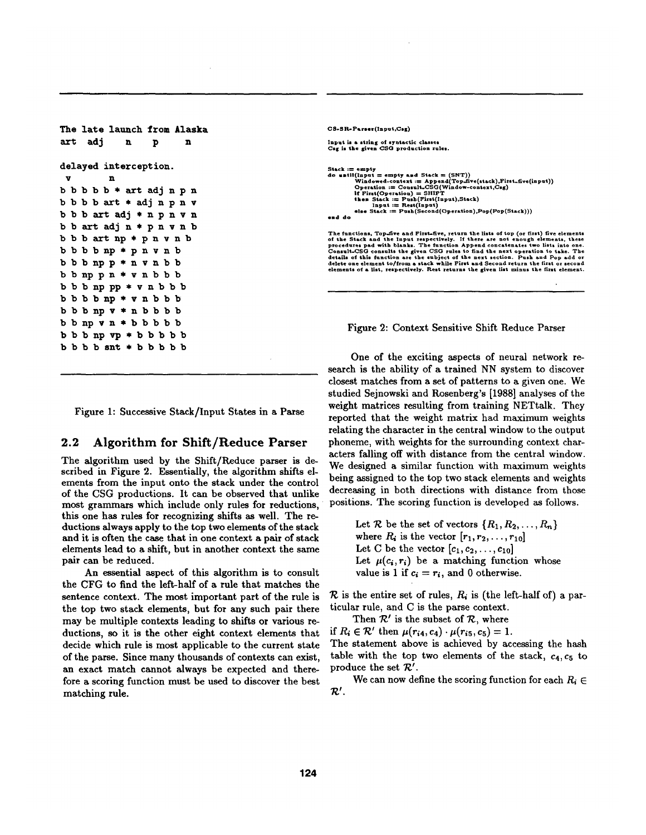```
The late launch from Alaska 
art adin n n
delayed interception. 
 V n 
b b b b \ast art adj n p n
b b b b art * adj n p n vb b b art adj * n p n v n
b b art adj n * p n v n bb b b art np * p n v n bbbbbnp*pnvnb 
bbbnpp*nvnbb 
bbnppn*vnbbb 
b b b np p * v n b b bbbbbnp*vnbbb 
bbbnpv*nbbbb 
bbnpvn*bbbbb 
bbbnp vp * bbbbb
b b b b snt * b b b b b
```
Input is a string of syntactic classes<br>Csg is the given CSG production rules. Stack  $:=$  empty and Stack  $=$  (SNT))<br>
do until(Input = empty and Stack = (SNT))<br>
Windowd-context: = Appeal(Top-five(stack), First-five(input<br>
Operation := Consult-CSO(Window-context, Csg)<br>
if First(Operation) = SHIFT<br>
the The functions, Top-dive and First-dive, return the lists of top (or first) five elements<br>of the Stack and the Input respectively. If there are not enough elements, these<br>procedures ped with blanks. The function Append conc

CS-SR-Parser(Input,Csg)

Figure 2: Context Sensitive Shift Reduce Parser

Figure 1: Successive Stack/Input States in a Parse

### 2.2 Algorithm for Shift/Reduce Parser

The algorithm used by the Shift/Reduce parser is described in Figure 2. Essentially, the algorithm shifts elements from the input onto the stack under the control of the CSG productions. It can be observed that unlike most grammars which include only rules for reductions, this one has rules for recognizing shifts as well. The reductions always apply to the top two elements of the stack and it is often the case that in one context a pair of stack elements lead to a shift, but in another context the same pair can be reduced.

An essential aspect of this algorithm is to consult the CFG to find the left-half of a rule that matches the sentence context. The most important part of the rule is the top two stack elements, but for any such pair there may be multiple contexts leading to shifts or various reductions, so it is the other eight context elements that decide which rule is most applicable to the current state of the parse. Since many thousands of contexts can exist, an exact match cannot always be expected and therefore a scoring function must be used to discover the best matching rule.

One of the exciting aspects of neural network research is the ability of a trained NN system to discover closest matches from a set of patterns to a given one. We studied Sejnowski and Rosenberg's [1988] analyses of the weight matrices resulting from training NETtalk. They reported that the weight matrix had maximum weights relating the character in the central window to the output phoneme, with weights for the surrounding context characters falling off with distance from the central window. We designed a similar function with maximum weights being assigned to the top two stack elements and weights decreasing in both directions with distance from those positions. The scoring function is developed as follows.

> Let  $\mathcal R$  be the set of vectors  $\{R_1, R_2, \ldots, R_n\}$ where  $R_i$  is the vector  $[r_1, r_2, \ldots, r_{10}]$ Let C be the vector  $[c_1, c_2, \ldots, c_{10}]$ Let  $\mu(c_i, r_i)$  be a matching function whose value is 1 if  $c_i = r_i$ , and 0 otherwise.

 $\mathcal R$  is the entire set of rules,  $R_i$  is (the left-half of) a particular rule, and C is the parse context.

Then  $R'$  is the subset of  $R$ , where

if  $R_i \in \mathcal{R}'$  then  $\mu(r_{i4}, c_4) \cdot \mu(r_{i5}, c_5) = 1$ .

The statement above is achieved by accessing the hash table with the top two elements of the stack,  $c_4$ ,  $c_5$  to produce the set  $\mathcal{R}'$ .

We can now define the scoring function for each  $R_i \in$  $\mathcal{R}'$ .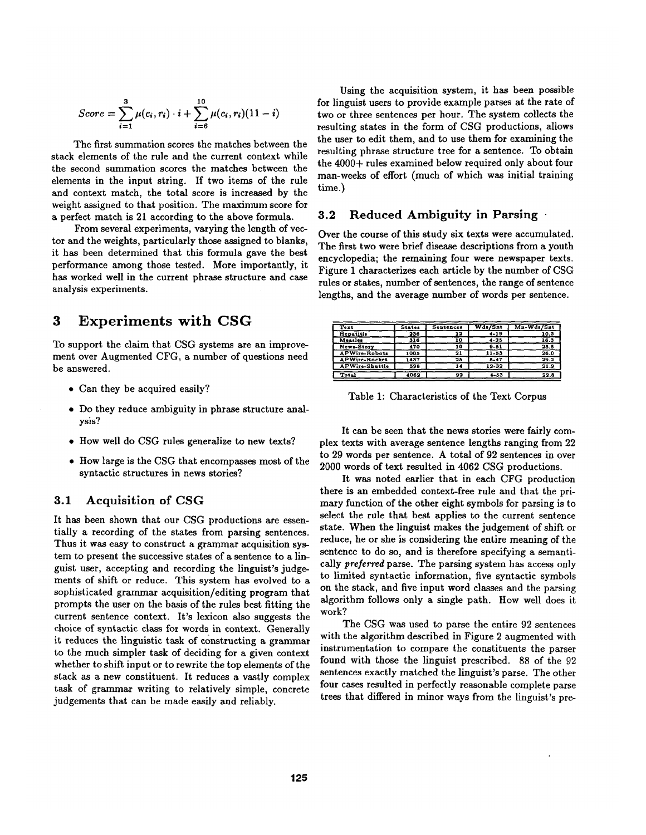$$
Score = \sum_{i=1}^{3} \mu(c_i, r_i) \cdot i + \sum_{i=6}^{10} \mu(c_i, r_i) (11 - i)
$$

The first summation scores the matches between the stack elements of the rule and the current context while the second summation scores the matches between the elements in the input string. If two items of the rule and context match, the total score is increased by the weight assigned to that position. The maximum score for a perfect match is 21 according to the above formula.

From several experiments, varying the length of vector and the weights, particularly those assigned to blanks, it has been determined that this formula gave the best performance among those tested. More importantly, it has worked well in the current phrase structure and case analysis experiments.

# **3 Experiments with CSG**

To support the claim that CSG systems are an improvement over Augmented CFG, a number of questions need be answered.

- Can they be acquired easily?
- Do they reduce ambiguity in phrase structure analysis?
- How well do CSG rules generalize to new texts?
- How large is the CSG that encompasses most of the syntactic structures in news stories?

## 3.1 Acquisition of CSG

It has been shown that our CSG productions are essentially a recording of the states from parsing sentences. Thus it was easy to construct a grammar acquisition system to present the successive states of a sentence to a linguist user, accepting and recording the linguist's judgements of shift or reduce. This system has evolved to a sophisticated grammar acquisition/editing program that prompts the user on the basis of the rules best fitting the current sentence context. It's lexicon also suggests the choice of syntactic class for words in context. Generally it reduces the linguistic task of constructing a grammar to the much simpler task of deciding for a given context whether to shift input or to rewrite the top elements of the stack as a new constituent. It reduces a vastly complex task of grammar writing to relatively simple, concrete judgements that can be made easily and reliably.

Using the acquisition system, it has been possible for linguist users to provide example parses at the rate of two or three sentences per hour. The system collects the resulting states in the form of CSG productions, allows the user to edit them, and to use them for examining the resulting phrase structure tree for a sentence. To obtain the 4000+ rules examined below required only about four man-weeks of effort (much of which was initial training time.)

### 3.2 Reduced Ambiguity in Parsing •

Over the course of this study six texts were accumulated. The first two were brief disease descriptions from a youth encyclopedia; the remaining four were newspaper texts. Figure 1 characterizes each article by the number of CSG rules or states, number of sentences, the range of sentence lengths, and the average number of words per sentence.

| Text                  | <b>States</b> | Sentences | Wds/Sat   | $Mn-Wds/Snt$ |
|-----------------------|---------------|-----------|-----------|--------------|
| Hepatitis             | 236           | 12        | $4 - 19$  | 10.3         |
| Measles               | 316           | 10        | $4 - 25$  | 16.3         |
| News-Story            | 170           | 10        | $9 - 51$  | 23.5         |
| <b>APWire-Robots</b>  | 1005          | 21        | $11 - 53$ | 26.0         |
| <b>APWire-Rocket</b>  | 1437          | 25        | $8 - 47$  | 29.2         |
| <b>APWire-Shuttle</b> | 598           | 14        | 12-32     | 21.9         |
| Total                 | 4062          | 92        | $4 - 53$  | 22.8         |

Table 1: Characteristics of the Text Corpus

It can be seen that the news stories were fairly complex texts with average sentence lengths ranging from 22 to 29 words per sentence. A total of 92 sentences in over 2000 words of text resulted in 4062 CSG productions.

It was noted earlier that in each CFG production there is an embedded context-free rule and that the primary function of the other eight symbols for parsing is to select the rule that best applies to the current sentence state. When the linguist makes the judgement of shift or reduce, he or she is considering the entire meaning of the sentence to do so, and is therefore specifying a semantically *preferred* parse. The parsing system has access only to limited syntactic information, five syntactic symbols on the stack, and five input word classes and the parsing algorithm follows only a single path. How well does it work?

The CSG was used to parse the entire 92 sentences with the algorithm described in Figure 2 augmented with instrumentation to compare the constituents the parser found with those the linguist prescribed. 88 of the 92 sentences exactly matched the linguist's parse. The other four cases resulted in perfectly reasonable complete parse trees that differed in minor ways from the linguist's pre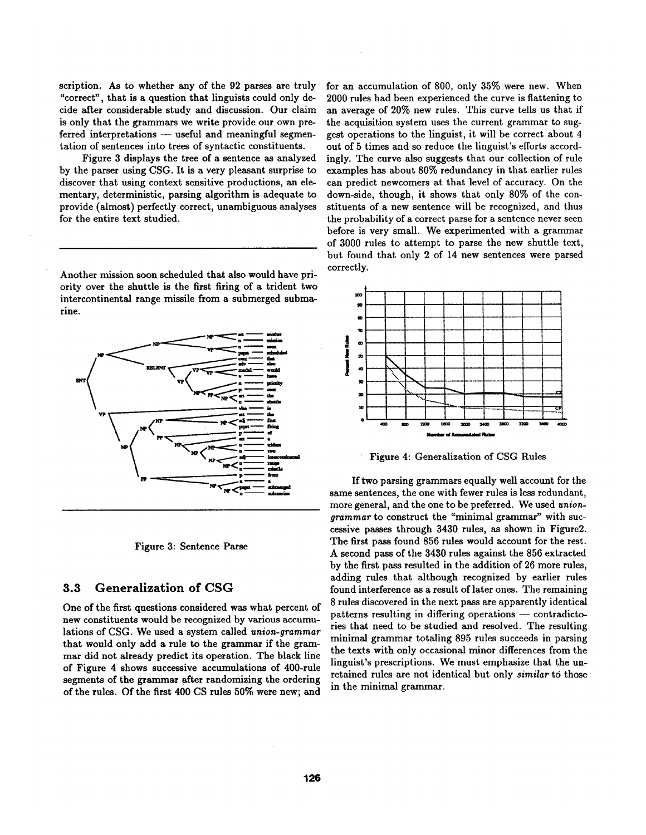scription. As to whether any of the 92 parses are truly "correct", that is a question that linguists could only decide after considerable study and discussion. Our claim is only that the grammars we write provide our own preferred interpretations - useful and meaningful segmentation of sentences into trees of syntactic constituents.

Figure 3 displays the tree of a sentence as analyzed by the parser using CSG. It is a very pleasant surprise to discover that using context sensitive productions, an elementary, deterministic, parsing algorithm is adequate to provide (almost) perfectly correct, unambiguous analyses for the entire text studied.

Another mission soon scheduled that also would have priority over the shuttle is the first firing of a trident two intercontinental range missile from a submerged submarine.



Figure 3: Sentence Parse

### **3.3 Generalization of CSG**

One of the first questions considered was what percent of new constituents would be recognized by various accumulations of CSG. We used a system called *union-grammar*  that would only add a rule to the grammar if the grammar did not already predict its operation. The black line of Figure 4 shows successive accumulations of 400-rule segments of the grammar after randomizing the ordering of the rules. Of the first 400 CS rules 50% were new; and

for an accumulation of 800, only 35% were new. When 2000 rules had been experienced the curve is flattening to an average of 20% new rules. This curve tells us that if the acquisition system uses the current grammar to suggest operations to the linguist, it will be correct about 4 out of 5 times and so reduce the linguist's efforts accordingly. The curve also suggests that our collection of rule examples has about 80% redundancy in that earlier rules can predict newcomers at that level of accuracy. On the down-side, though, it shows that only 80% of the constituents of a new sentence will be recognized, and thus the probability of a correct parse for a sentence never seen before is very small. We experimented with a grammar of 3000 rules to attempt to parse the new shuttle text, but found that only 2 of 14 new sentences were parsed correctly.



Figure 4: Generalization of CSG Rules

If two parsing grammars equally well account for the same sentences, the one with fewer rules is less redundant, more general, and the one to be preferred. We used *uniongrammar* to construct the "minimal grammar" with successive passes through 3430 rules, as shown in Figure2. The first pass found 856 rules would account for the rest. A second pass of the 3430 rules against the 856 extracted by the first pass resulted in the addition of 26 more rules, adding rules that although recognized by earlier rules found interference as a result of later ones. The remaining 8 rules discovered in the next pass are apparently identical patterns resulting in differing operations -- contradictories that need to be studied and resolved. The resulting minimal grammar totaling 895 rules succeeds in parsing the texts with only occasional minor differences from the linguist's prescriptions. We must emphasize that the unretained rules are not identical but only *similar* to those in the minimal grammar.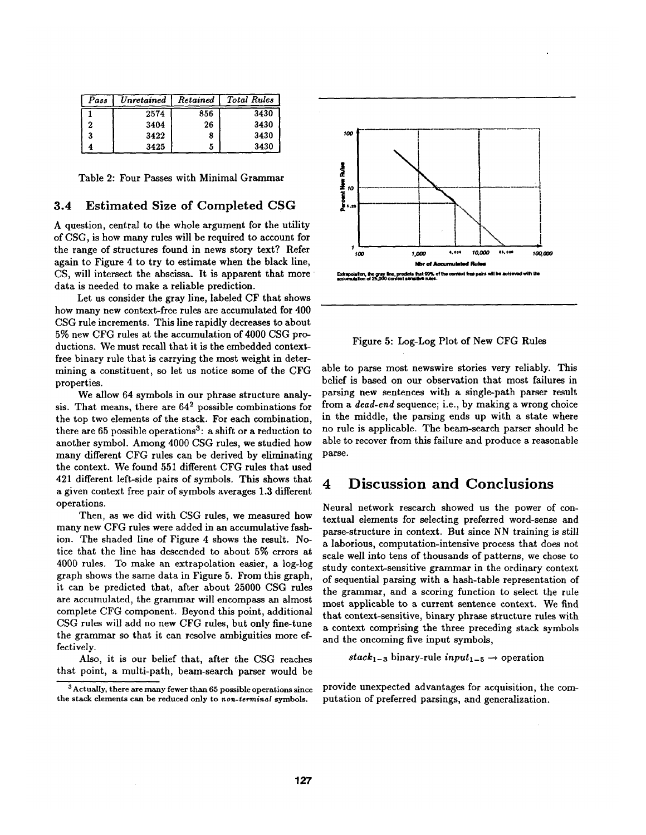| Pass | Unretained | Retained | Total Rules |
|------|------------|----------|-------------|
|      | 2574       | 856      | 3430        |
|      | 3404       | 26       | 3430        |
|      | 3422       |          | 3430        |
|      | 3425       | 5        | 3430        |

Table 2: Four Passes with Minimal Grammar

### 3.4 Estimated Size of Completed CSG

A question, central to the whole argument for the utility of CSG, is how many rules will be required to account for the range of structures found in news story text? Refer again to Figure 4 to try to estimate when the black line, CS, will intersect the abscissa. It is apparent that more data is needed to make a reliable prediction.

Let us consider the gray line, labeled CF that shows how many new context-free rules are accumulated for 400 CSG rule increments. This line rapidly decreases to about 5% new CFG rules at the accumulation of 4000 CSG productions. We must recall that it is the embedded contextfree binary rule that is carrying the most weight in determining a constituent, so let us notice some of the CFG properties.

We allow 64 symbols in our phrase structure analysis. That means, there are 642 possible combinations for the top two elements of the stack. For each combination, there are 65 possible operations<sup>3</sup>: a shift or a reduction to another symbol. Among 4000 CSG rules, we studied how many different CFG rules can be derived by eliminating the context. We found 551 different CFG rules that used 421 different left-side pairs of symbols. This shows that a given context free pair of symbols averages 1.3 different operations.

Then, as we did with CSG rules, we measured how many new CFG rules were added in an accumulative fashion. The shaded line of Figure 4 shows the result. Notice that the line has descended to about 5% errors at 4000 rules. To make an extrapolation easier, a log-log graph shows the same data in Figure 5. From this graph, it can be predicted that, after about 25000 CSG rules are accumulated, the grammar will encompass an almost complete *CFG* component. Beyond this point, additional CSG rules will add no new CFG rules, but only fine-tune the grammar so that it can resolve ambiguities more effectively.

Also, it is our belief that, after the CSG reaches that point, a multi-path, beam-search parser would be



Figure 5: Log-Log Plot of New CFG Rules

able to parse most newswire stories very reliably. This belief is based on our observation that most failures in parsing new sentences with a single-path parser result from a *dead-end* sequence; i.e., by making a wrong choice in the middle, the parsing ends up with a state where no rule is applicable. The beam-search parser should be able to recover from this failure and produce a reasonable parse.

# **4 Discussion and Conclusions**

Neural network research showed us the power of contextual elements for selecting preferred word-sense and parse-structure in context. But since NN training is still a laborious, computation-intensive process that does not scale well into tens of thousands of patterns, we chose to study context-sensitive grammar in the ordinary context of sequential parsing with a hash-table representation of the grammar, and a scoring function to select the rule most applicable to a current sentence context. We find that context-sensitive, binary phrase structure rules with a context comprising the three preceding stack symbols and the oncoming five input symbols,

$$
stack_{1-3}
$$
 binary-rule  $input_{1-5} \rightarrow$  operation

provide unexpected advantages for acquisition, the computation of preferred parsings, and generalization.

<sup>3</sup> Actually, there are many fewer than 65 possible operations since the stack elements can be reduced only to *non-terminal* symbols.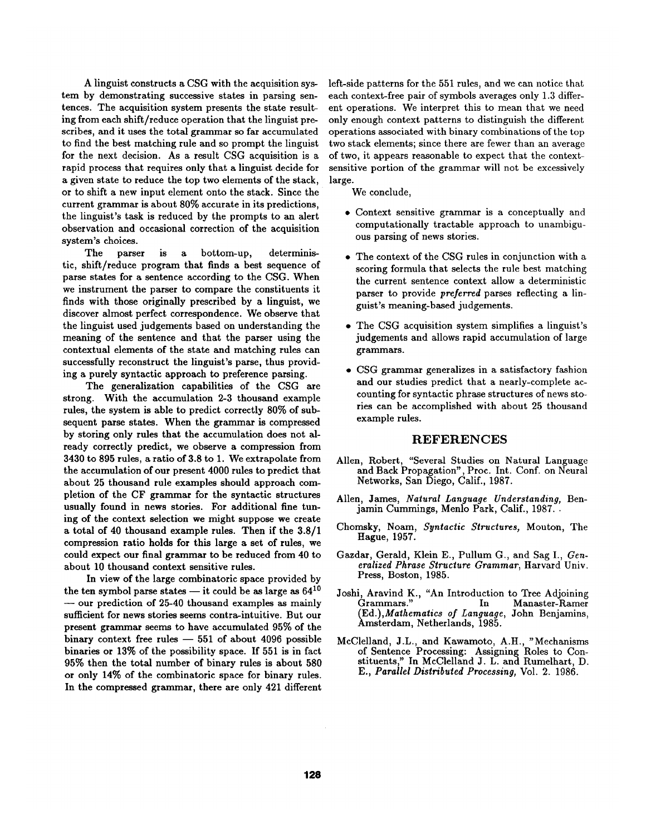A linguist constructs a CSG with the acquisition system by demonstrating successive states in parsing sentences. The acquisition system presents the state resulting from each shift/reduce operation that the linguist prescribes, and it uses the total grammar so far accumulated to find the best matching rule and so prompt the linguist for the next decision. As a result CSG acquisition is a rapid process that requires only that a linguist decide for a given state to reduce the top two elements of the stack, or to shift a new input element onto the stack. Since the current grammar is about 80% accurate in its predictions, the linguist's task is reduced by the prompts to an alert observation and occasional correction of the acquisition system's choices.

The parser is a bottom-up, deterministic, shift/reduce program that finds a best sequence of parse states for a sentence according to the CSG. When we instrument the parser to compare the constituents it finds with those originally prescribed by a linguist, we discover almost perfect correspondence. We observe that the linguist used judgements based on understanding the meaning of the sentence and that the parser using the contextual elements of the state and matching rules can successfully reconstruct the linguist's parse, thus providing a purely syntactic approach to preference parsing.

The generalization capabilities of the CSG are strong. With the accumulation 2-3 thousand example rules, the system is able to predict correctly 80% of subsequent parse states. When the grammar is compressed by storing only rules that the accumulation does not already correctly predict, we observe a compression from 3430 to 895 rules, a ratio of 3.8 to 1. We extrapolate from the accumulation of our present 4000 rules to predict that about 25 thousand rule examples should approach completion of the CF grammar for the syntactic structures usually found in news stories. For additional fine tuning of the context selection we might suppose we create a total of 40 thousand example rules. Then if the 3.8/1 compression ratio holds for this large a set of rules, we could expect our final grammar to be reduced from 40 to about 10 thousand context sensitive rules.

In view of the large combinatoric space provided by the ten symbol parse states  $-$  it could be as large as  $64^{10}$ **--** our prediction of 25-40 thousand examples as mainly sufficient for news stories seems contra-intuitive. But our present grammar seems to have accumulated 95% of the binary context free rules  $-551$  of about 4096 possible binaries or 13% of the possibility space. If 551 is in fact 95% then the total number of binary rules is about 580 or only 14% of the combinatoric space for binary rules. In the compressed grammar, there are only 421 different

left-side patterns for the 551 rules, and we can notice that each context-free pair of symbols averages only 1.3 different operations. We interpret this to mean that we need only enough context patterns to distinguish the different operations associated with binary combinations of the top two stack elements; since there are fewer than an average of two, it appears reasonable to expect that the contextsensitive portion of the grammar will not be excessively large.

We conclude,

- Context sensitive grammar is a conceptually and computationally tractable approach to unambiguous parsing of news stories.
- The context of the CSG rules in conjunction with a scoring formula that selects the rule best matching the current sentence context allow a deterministic parser to provide *preferred* parses reflecting a linguist's meaning-based judgements.
- The CSG acquisition system simplifies a linguist's judgements and allows rapid accumulation of large grammars.
- CSG grammar generalizes in a satisfactory fashion and our studies predict that a nearly-complete accounting for syntactic phrase structures of news stories can be accomplished with about 25 thousand example rules.

#### **REFERENCES**

- Alien, Robert, "Several Studies on Natural Language and Back Propagation", Proc. Int. Conf. on Neural Networks, San Diego, Calif., 1987.
- Allen, James, *Natural Language Understanding,* Benjamin Cummings, Menlo Park, Calif., 1987..
- Chomsky, Noam, *Syntactic Structures,* Mouton, The Hague, 1957.
- Gazdar, Gerald, Klein E., Pullum G., and Sag I., *Generalized Phrase Structure Grammar,* Harvard Univ. Press, Boston, 1985.
- Joshi, Aravind K., "An Introduction to Tree Adjoining Grammars." In Manaster-Ramer *Ed.),Mathematics of Language,* John Benjamins, msterdam, Netherlands, 1985.
- McClelland, J.L., and Kawamoto, A.H., "Mechanisms of Sentence Processing: Assigning Roles to Constituents," In McClelland J. L. and Rumelhart, D. *E., Parallel Distributed Processing,* Vol. 2. 1986.